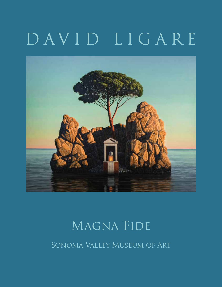# DAVID LIGARE



## Magna Fide

Sonoma Valley Museum of Art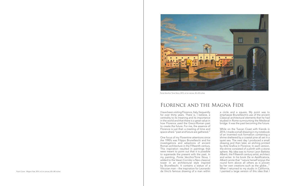### Florence and the Magna Fide

One focus of my Florentine attentions since the 1990's was Filippo Brunelleschi and his investigations and adoptions of ancient Roman architecture in the Fifteenth century. This inspiration resulted in paintings that were meant to point out that it is possible to supersede the present with the past. In my painting, *Ponte Vecchio/Torre Nova*, I added to the Vasari Corridor a Neo-classical tower in an architectural style inspired by Brunelleschi. It contains a statue of a Vitruvian man – the inspiration for Leonardo Front Cover: *Magna Fide,* 2014, oil on canvas, 60 x 80 inches Inches I painted a large version of this idea that I painted a large version of this idea that I

I have been visiting Florence, Italy, frequently for over thirty years. There is, I believe, a centrality to its meaning and its importance in the world and that there is a great value in how Florence used the Greco-Roman past to create the future. For me, the essence of Florence is just that: a meeting of time and space where "past and future are gathered."

While on the Tuscan Coast with friends in 2014, I made a small drawing in my notebook of an invented rock formation containing a shrine sheltered by a coastal pine all set in a quiet sea. The next day I produced a small drawing and then later, an etching printed by Arte Grafica in Florence. In each version, the shrine consisted of a plinth with a stone sphere. My idea was to honor Leon Battista Alberti, the Fifteenth century artist, architect and writer. In his book *De re Aedificatoria*, Alberti wrote that "nature herself enjoys the round form above all others as is proven by her own creations such as the globe..." When I returned to my studio in California,<br>I painted a large version of this idea that I

a circle and a square. My point was to emphasize Brunelleschi's use of the ancient Classical architectural elements that he had studied in Rome surmounting the Medieval bridge. It was the past becoming the future.



*Ponte Vecchio/ Torre Nova,* 2015, oil on canvas, 28 x 40 inches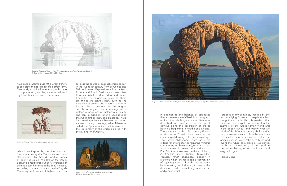

*A Specific View; Veritas, Universitas, Venustas, (Truth, Wholeness, Beauty),* 2017, oil on canvas, 80 x 120 inches



Study for *A Specific View; Veritas, Universitas, Venustas, (Truth, Wholeness, Beauty)*  2015, graphite on paper, 22 ½ x 30 inches

have called, *Magna Fide (The Great Belief)*, to celebrate the possibility of a perfect form. That work, exhibited here along with some of its preparatory studies, is a summation of my Florentine ideas and experiences.

While I was inspired by the pines and rock formations along the Tuscan shore, I was also inspired by Arnold Bocklin's series of paintings called *The Isle of the Dead*. Bocklin painted three out of five versions of the subject in Florence in the 1880's, based, according to some historians, on the English Cemetery in Florence. I believe that this series is the source of so much enigmatic art in the Twentieth century from de Chirico and Dali to Abstract Expressionists like Jackson Pollock and Emilio Vedova and even Arte Povera artists like Mario Merz and Jannis Kounellis. The enigma suggests that there are things we cannot know such as the nonsense of dreams and irrational behavior. I would like to propose that the enigma can also occupy an idea or an image with a golden atmosphere of melancholic beauty and can, in addition, offer a specific idea that we might all know and embrace. I have long used the balance between opposing elements in my paintings, what Nietzsche called the "primal unity." In this case, it is the irrationality of the enigma paired with the rationality of Alberti.



David Ligare, after Arnold Bocklin, *Isle of the Dead,*  2015, oil on canvas 18 x 29 inches

In addition to the balance of opposites that is the essence of Classicism, I long ago noticed that whole systems are oftentimes described in tripartite terms, the most obvious being the description of life as having a beginning, a middle and an end. The paintings of the 17th century French artist Nicolas Poussin were described as consisting of drawing, color and knowledge. The Greek philosopher Plato gave his criteria for a work of art as requiring mimetic correctness, (truth to nature), usefulness and attractiveness. I present criteria similar to Plato's in the newest work in this exhibition, *A Specific View; Veritas, Universitas, Venustas, (Truth, Wholeness, Beauty)*. In a period when art has made a convention of rejecting rules, I thought that it would be interesting, radical even, to narrow the definition of art to something quite specific and precedential.

I propose in my paintings, inspired by the real underlying Florence of deep humanistic thought and scientific discoveries, that there are new insights to be found in the example of the Greco-Roman world and in the deeply curious and hugely inventive minds of the Fifteenth century. I believe that people everywhere can follow the examples of Brunelleschi, Alberti, Galileo, Bocklin, de Chirico and so many others, to build and invent the future as a place of substance, depth and significance, all wrapped in the golden beauty of an illuminating and enigmatic light.

—David Ligare



*Study for Magna Fide,* 2014, ink on paper, 8 ½ x 11 inches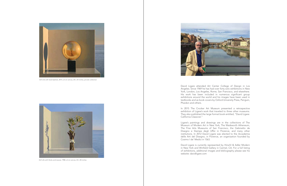David Ligare attended Art Center College of Design in Los Angeles. Since 1969 he has had over forty solo exhibitions in New York, London, Los Angeles, Rome, San Francisco, and elsewhere. His work has been included in numerous significant group exhibitions around the world and his images have been used in textbooks and as book covers by Oxford University Press, Penguin, Phaidon and others.

In 2015 The Crocker Art Museum presented a retrospective exhibition of Ligare's work that traveled to three other museums. They also published the large format book entitled, "David Ligare: California Classicist."

Ligare's paintings and drawings are in the collections of The Museum of Modern Art in New York, The Wadsworth Atheneum, The Fine Arts Museums of San Francisco, the Gabinetto de Disegno e Stampe degli Uffizi in Florence, and many other institutions. In 2012 David Ligare was elected to the Accademia delle Arti del Disegno, in Florence, an organization founded by Cosimo I de' Medici in 1563.

David Ligare is currently represented by Hirschl & Adler Modern in New York and Winfield Gallery in Carmel, CA. For a full listing of exhibitions, additional images and bibliography please see his

website: davidligare.com



*Still Life with Gold Sphere,* 2014, oil on canvas, 20 x 24 inches, private collection



*Still Life with Sticks and Leaves,* 1988, oil on canvas, 22 x 30 inches